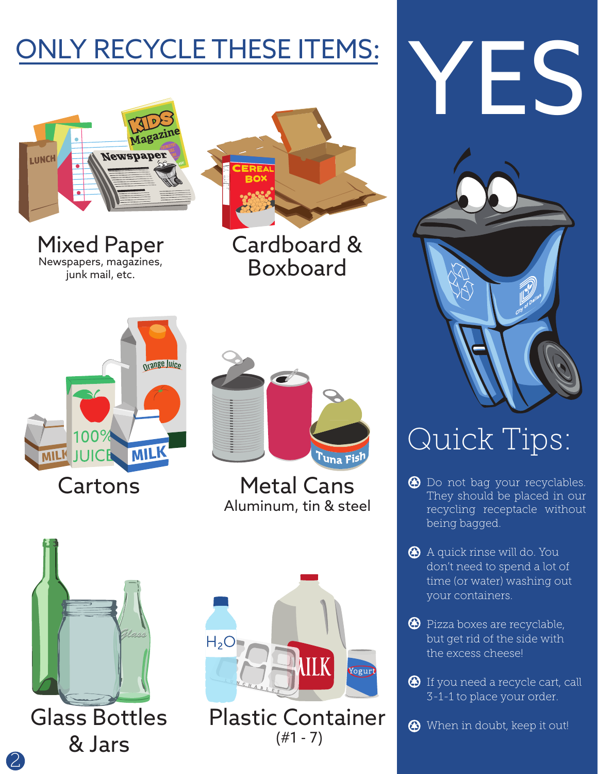

Mixed Paper Newspapers, magazines, junk mail, etc.



Cardboard & Boxboard





Metal Cans Aluminum, tin & steel







## Quick Tips:

- $\bullet$  Do not bag your recyclables. They should be placed in our recycling receptacle without being bagged.
- A quick rinse will do. You don't need to spend a lot of time (or water) washing out your containers.
- **Pizza boxes are recyclable,** but get rid of the side with the excess cheese!
- **1** If you need a recycle cart, call 3-1-1 to place your order.
- When in doubt, keep it out!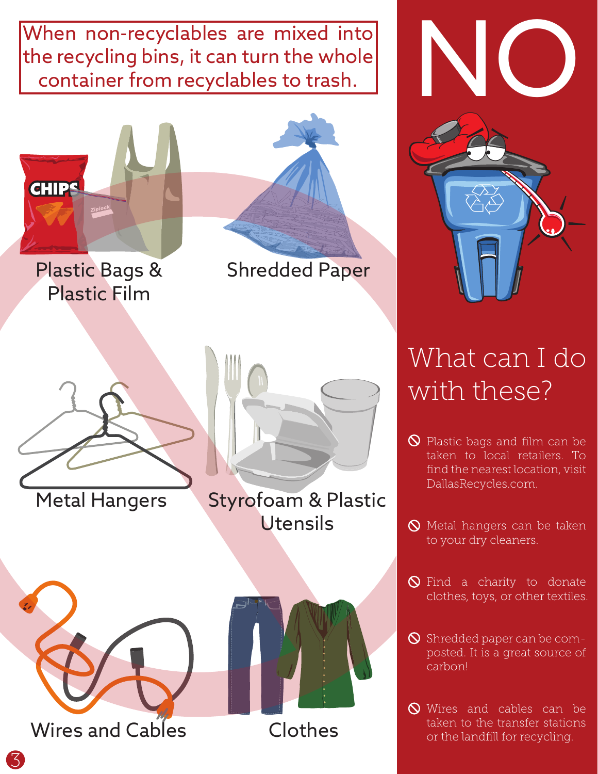When non-recyclables are mixed into the recycling bins, it can turn the whole container from recyclables to trash.





## What can I do with these?

- **Q** Plastic bags and film can be taken to local retailers. To find the nearest location, visit DallasRecycles.com.
- $\bigcirc$  Metal hangers can be taken to your dry cleaners.
- $\bigcirc$  Find a charity to donate clothes, toys, or other textiles.
- $\bigcirc$  Shredded paper can be composted. It is a great source of carbon!
- **N** Wires and cables can be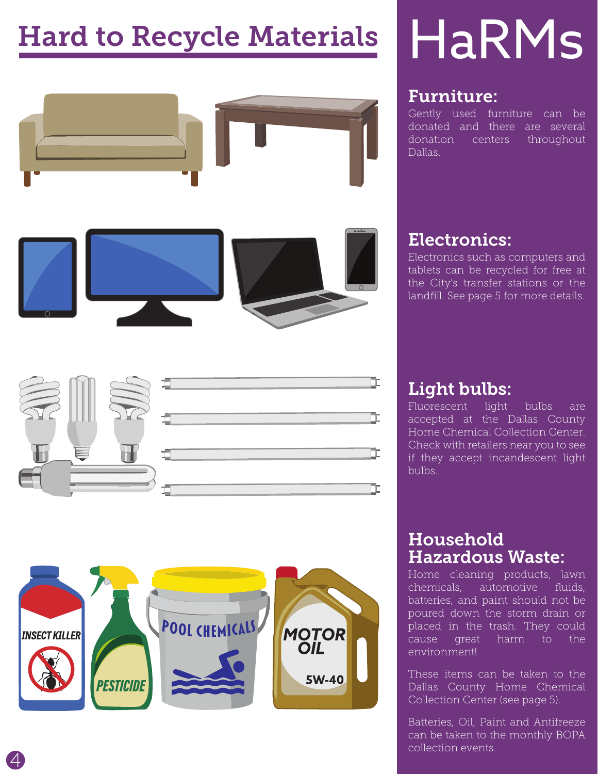## Hard to Recycle Materials





# HaRMs

#### Furniture:

Gently used furniture can be donated and there are several donation centers throughout Dallas.

#### Electronics:

Electronics such as computers and tablets can be recycled for free at the City's transfer stations or the landfill. See page 5 for more details.

#### Light bulbs:

Fluorescent light bulbs are accepted at the Dallas County Home Chemical Collection Center. Check with retailers near you to see if they accept incandescent light bulbs.

#### Household Hazardous Waste:

Home cleaning products, lawn chemicals, automotive fluids, batteries, and paint should not be poured down the storm drain or placed in the trash. They could cause great harm to the environment!

These items can be taken to the Dallas County Home Chemical Collection Center (see page 5).

Batteries, Oil, Paint and Antifreeze can be taken to the monthly BOPA collection events.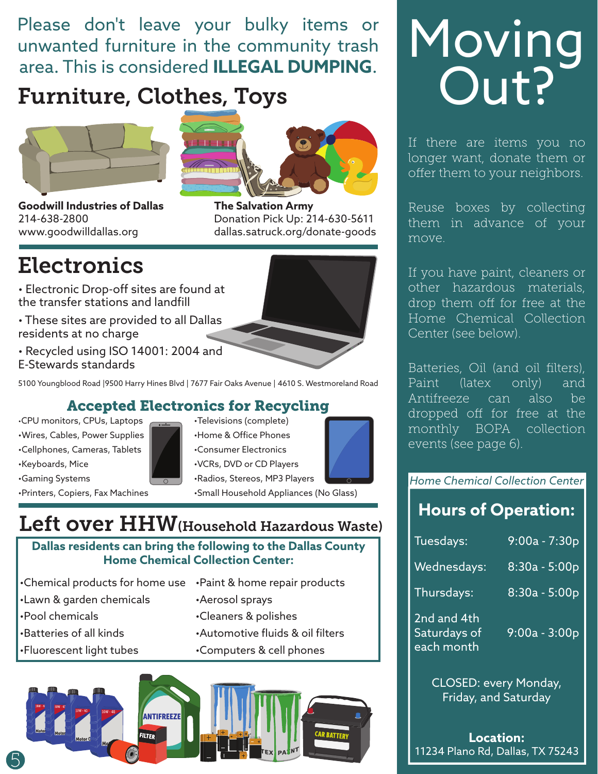Please don't leave your bulky items or unwanted furniture in the community trash area. This is considered **ILLEGAL DUMPING**.

#### Furniture, Clothes, Toys





Donation Pick Up: 214-630-5611 dallas.satruck.org/donate-goods

**The Salvation Army** 

**Goodwill Industries of Dallas** 214-638-2800 www.goodwilldallas.org

### **Electronics**

- Electronic Drop-off sites are found at the transfer stations and landfill
- These sites are provided to all Dallas residents at no charge
- Recycled using ISO 14001: 2004 and E-Stewards standards

5100 Youngblood Road |9500 Harry Hines Blvd | 7677 Fair Oaks Avenue | 4610 S. Westmoreland Road

#### Accepted Electronics for Recycling

•Wires, Cables, Power Supplies | ↓ ↓Home & Office Phones •Cellphones, Cameras, Tablets | | | •Consumer Electronics •Keyboards, Mice •VCRs, DVD or CD Players

•Gaming Systems **• Figure 1** •Radios, Stereos, MP3 Players

•CPU monitors, CPUs, Laptops •Televisions (complete)



•Printers, Copiers, Fax Machines •Small Household Appliances (No Glass)

#### Left over HHW(Household Hazardous Waste)

**Dallas residents can bring the following to the Dallas County Home Chemical Collection Center:**

- •Chemical products for home use •Paint & home repair products
- •Lawn & garden chemicals •Aerosol sprays
- 
- 
- 
- 
- 
- •Pool chemicals •Cleaners & polishes
- •Batteries of all kinds •Automotive fluids & oil filters
- •Fluorescent light tubes •Computers & cell phones



## Moving Out?

If there are items you no longer want, donate them or offer them to your neighbors.

Reuse boxes by collecting them in advance of your move.

If you have paint, cleaners or other hazardous materials, drop them off for free at the Home Chemical Collection Center (see below).

Batteries, Oil (and oil filters), Paint (latex only) and Antifreeze can also be dropped off for free at the monthly BOPA collection events (see page 6).

#### *Home Chemical Collection Center*

#### **Hours of Operation:**

| Tuesdays:                                 | $9:00a - 7:30p$ |
|-------------------------------------------|-----------------|
| Wednesdays:                               | $8:30a - 5:00p$ |
| Thursdays:                                | 8:30a - 5:00p   |
| 2nd and 4th<br>Saturdays of<br>each month | $9:00a - 3:00p$ |

CLOSED: every Monday, Friday, and Saturday

**Location:** 11234 Plano Rd, Dallas, TX 75243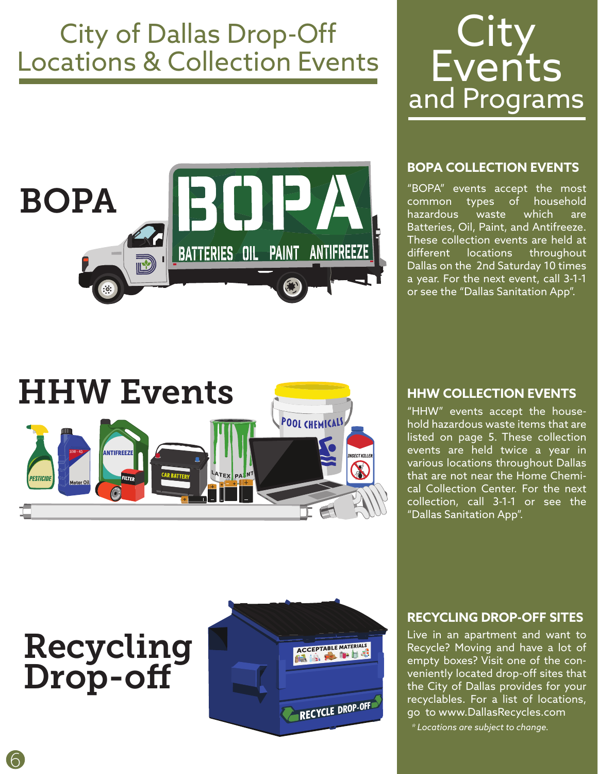### City of Dallas Drop-Off Locations & Collection Events



## **City Events** and Programs

#### **BOPA COLLECTION EVENTS**

"BOPA" events accept the most common types of household hazardous waste which are Batteries, Oil, Paint, and Antifreeze. These collection events are held at different locations throughout Dallas on the 2nd Saturday 10 times a year. For the next event, call 3-1-1 or see the "Dallas Sanitation App".



#### **HHW COLLECTION EVENTS**

"HHW" events accept the household hazardous waste items that are listed on page 5. These collection events are held twice a year in various locations throughout Dallas that are not near the Home Chemical Collection Center. For the next collection, call 3-1-1 or see the "Dallas Sanitation App".

## Recycling Drop-off



#### **RECYCLING DROP-OFF SITES**

Live in an apartment and want to Recycle? Moving and have a lot of empty boxes? Visit one of the conveniently located drop-off sites that the City of Dallas provides for your recyclables. For a list of locations, go to www.DallasRecycles.com

 *\* Locations are subject to change.*